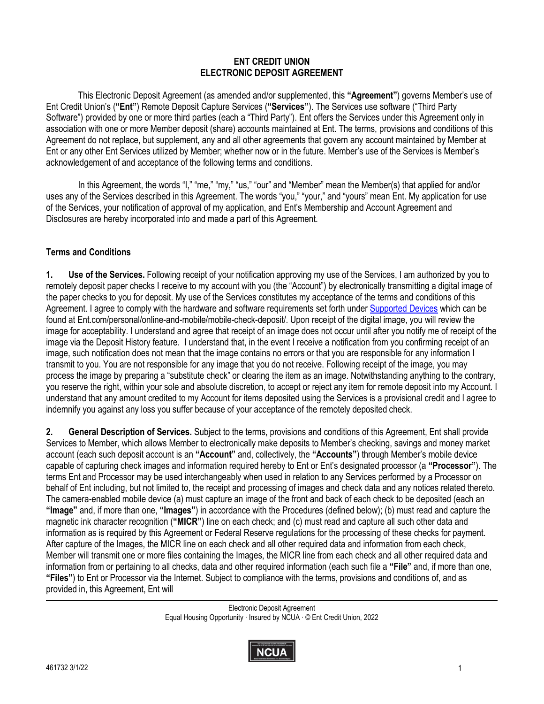#### **ENT CREDIT UNION ELECTRONIC DEPOSIT AGREEMENT**

 association with one or more Member deposit (share) accounts maintained at Ent. The terms, provisions and conditions of this Ent or any other Ent Services utilized by Member; whether now or in the future. Member's use of the Services is Member's This Electronic Deposit Agreement (as amended and/or supplemented, this **"Agreement"**) governs Member's use of Ent Credit Union's (**"Ent"**) Remote Deposit Capture Services (**"Services"**). The Services use software ("Third Party Software") provided by one or more third parties (each a "Third Party"). Ent offers the Services under this Agreement only in Agreement do not replace, but supplement, any and all other agreements that govern any account maintained by Member at acknowledgement of and acceptance of the following terms and conditions.

In this Agreement, the words "I," "me," "my," "us," "our" and "Member" mean the Member(s) that applied for and/or uses any of the Services described in this Agreement. The words "you," "your," and "yours" mean Ent. My application for use of the Services, your notification of approval of my application, and Ent's Membership and Account Agreement and Disclosures are hereby incorporated into and made a part of this Agreement.

### **Terms and Conditions**

**1. Use of the Services.** Following receipt of your notification approving my use of the Services, I am authorized by you to remotely deposit paper checks I receive to my account with you (the "Account") by electronically transmitting a digital image of the paper checks to you for deposit. My use of the Services constitutes my acceptance of the terms and conditions of this Agreement. I agree to comply with the hardware and software requirements set forth under [Supported Devices w](https://www.ent.com/personal/online-and-mobile/mobile-check-deposit)hich can be found at [Ent.com/personal/online-and-mobile/mobile-check-deposit](https://Ent.com/personal/online-and-mobile/mobile-check-deposit)/. Upon receipt of the digital image, you will review the image for acceptability. I understand and agree that receipt of an image does not occur until after you notify me of receipt of the image via the Deposit History feature. I understand that, in the event I receive a notification from you confirming receipt of an image, such notification does not mean that the image contains no errors or that you are responsible for any information I transmit to you. You are not responsible for any image that you do not receive. Following receipt of the image, you may process the image by preparing a "substitute check" or clearing the item as an image. Notwithstanding anything to the contrary, you reserve the right, within your sole and absolute discretion, to accept or reject any item for remote deposit into my Account. I understand that any amount credited to my Account for items deposited using the Services is a provisional credit and I agree to indemnify you against any loss you suffer because of your acceptance of the remotely deposited check.

 Services to Member, which allows Member to electronically make deposits to Member's checking, savings and money market behalf of Ent including, but not limited to, the receipt and processing of images and check data and any notices related thereto. **2. General Description of Services.** Subject to the terms, provisions and conditions of this Agreement, Ent shall provide account (each such deposit account is an **"Account"** and, collectively, the **"Accounts"**) through Member's mobile device capable of capturing check images and information required hereby to Ent or Ent's designated processor (a **"Processor"**). The terms Ent and Processor may be used interchangeably when used in relation to any Services performed by a Processor on The camera-enabled mobile device (a) must capture an image of the front and back of each check to be deposited (each an **"Image"** and, if more than one, **"Images"**) in accordance with the Procedures (defined below); (b) must read and capture the magnetic ink character recognition (**"MICR"**) line on each check; and (c) must read and capture all such other data and information as is required by this Agreement or Federal Reserve regulations for the processing of these checks for payment. After capture of the Images, the MICR line on each check and all other required data and information from each check, Member will transmit one or more files containing the Images, the MICR line from each check and all other required data and information from or pertaining to all checks, data and other required information (each such file a **"File"** and, if more than one, **"Files"**) to Ent or Processor via the Internet. Subject to compliance with the terms, provisions and conditions of, and as provided in, this Agreement, Ent will

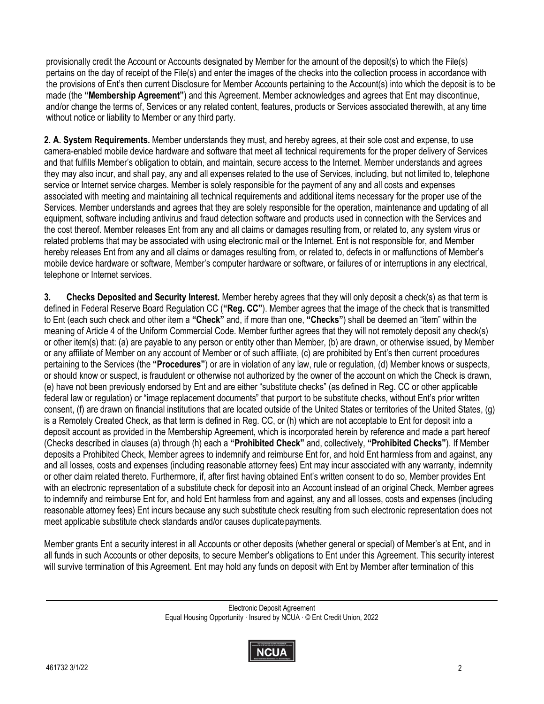provisionally credit the Account or Accounts designated by Member for the amount of the deposit(s) to which the File(s) pertains on the day of receipt of the File(s) and enter the images of the checks into the collection process in accordance with the provisions of Ent's then current Disclosure for Member Accounts pertaining to the Account(s) into which the deposit is to be made (the **"Membership Agreement"**) and this Agreement. Member acknowledges and agrees that Ent may discontinue, and/or change the terms of, Services or any related content, features, products or Services associated therewith, at any time without notice or liability to Member or any third party.

 hereby releases Ent from any and all claims or damages resulting from, or related to, defects in or malfunctions of Member's **2. A. System Requirements.** Member understands they must, and hereby agrees, at their sole cost and expense, to use camera-enabled mobile device hardware and software that meet all technical requirements for the proper delivery of Services and that fulfills Member's obligation to obtain, and maintain, secure access to the Internet. Member understands and agrees they may also incur, and shall pay, any and all expenses related to the use of Services, including, but not limited to, telephone service or Internet service charges. Member is solely responsible for the payment of any and all costs and expenses associated with meeting and maintaining all technical requirements and additional items necessary for the proper use of the Services. Member understands and agrees that they are solely responsible for the operation, maintenance and updating of all equipment, software including antivirus and fraud detection software and products used in connection with the Services and the cost thereof. Member releases Ent from any and all claims or damages resulting from, or related to, any system virus or related problems that may be associated with using electronic mail or the Internet. Ent is not responsible for, and Member mobile device hardware or software, Member's computer hardware or software, or failures of or interruptions in any electrical, telephone or Internet services.

**3. Checks Deposited and Security Interest.** Member hereby agrees that they will only deposit a check(s) as that term is defined in Federal Reserve Board Regulation CC (**"Reg. CC"**). Member agrees that the image of the check that is transmitted to Ent (each such check and other item a **"Check"** and, if more than one, **"Checks"**) shall be deemed an "item" within the meaning of Article 4 of the Uniform Commercial Code. Member further agrees that they will not remotely deposit any check(s) or other item(s) that: (a) are payable to any person or entity other than Member, (b) are drawn, or otherwise issued, by Member or any affiliate of Member on any account of Member or of such affiliate, (c) are prohibited by Ent's then current procedures pertaining to the Services (the **"Procedures"**) or are in violation of any law, rule or regulation, (d) Member knows or suspects, or should know or suspect, is fraudulent or otherwise not authorized by the owner of the account on which the Check is drawn, (e) have not been previously endorsed by Ent and are either "substitute checks" (as defined in Reg. CC or other applicable federal law or regulation) or "image replacement documents" that purport to be substitute checks, without Ent's prior written consent, (f) are drawn on financial institutions that are located outside of the United States or territories of the United States, (g) is a Remotely Created Check, as that term is defined in Reg. CC, or (h) which are not acceptable to Ent for deposit into a deposit account as provided in the Membership Agreement, which is incorporated herein by reference and made a part hereof (Checks described in clauses (a) through (h) each a **"Prohibited Check"** and, collectively, **"Prohibited Checks"**). If Member deposits a Prohibited Check, Member agrees to indemnify and reimburse Ent for, and hold Ent harmless from and against, any and all losses, costs and expenses (including reasonable attorney fees) Ent may incur associated with any warranty, indemnity or other claim related thereto. Furthermore, if, after first having obtained Ent's written consent to do so, Member provides Ent with an electronic representation of a substitute check for deposit into an Account instead of an original Check, Member agrees to indemnify and reimburse Ent for, and hold Ent harmless from and against, any and all losses, costs and expenses (including reasonable attorney fees) Ent incurs because any such substitute check resulting from such electronic representation does not meet applicable substitute check standards and/or causes duplicatepayments.

 all funds in such Accounts or other deposits, to secure Member's obligations to Ent under this Agreement. This security interest Member grants Ent a security interest in all Accounts or other deposits (whether general or special) of Member's at Ent, and in will survive termination of this Agreement. Ent may hold any funds on deposit with Ent by Member after termination of this

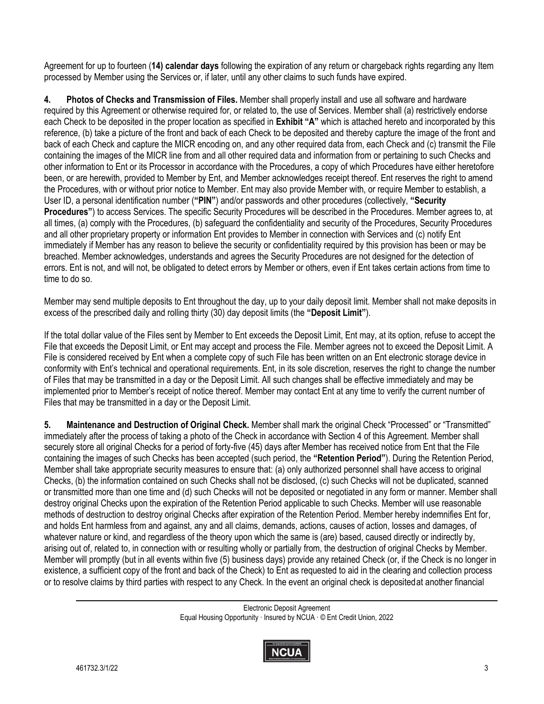Agreement for up to fourteen (**14) calendar days** following the expiration of any return or chargeback rights regarding any Item processed by Member using the Services or, if later, until any other claims to such funds have expired.

**4. Photos of Checks and Transmission of Files.** Member shall properly install and use all software and hardware required by this Agreement or otherwise required for, or related to, the use of Services. Member shall (a) restrictively endorse each Check to be deposited in the proper location as specified in **Exhibit "A"** which is attached hereto and incorporated by this reference, (b) take a picture of the front and back of each Check to be deposited and thereby capture the image of the front and back of each Check and capture the MICR encoding on, and any other required data from, each Check and (c) transmit the File containing the images of the MICR line from and all other required data and information from or pertaining to such Checks and other information to Ent or its Processor in accordance with the Procedures, a copy of which Procedures have either heretofore been, or are herewith, provided to Member by Ent, and Member acknowledges receipt thereof. Ent reserves the right to amend the Procedures, with or without prior notice to Member. Ent may also provide Member with, or require Member to establish, a User ID, a personal identification number (**"PIN"**) and/or passwords and other procedures (collectively, **"Security Procedures"**) to access Services. The specific Security Procedures will be described in the Procedures. Member agrees to, at all times, (a) comply with the Procedures, (b) safeguard the confidentiality and security of the Procedures, Security Procedures and all other proprietary property or information Ent provides to Member in connection with Services and (c) notify Ent immediately if Member has any reason to believe the security or confidentiality required by this provision has been or may be breached. Member acknowledges, understands and agrees the Security Procedures are not designed for the detection of errors. Ent is not, and will not, be obligated to detect errors by Member or others, even if Ent takes certain actions from time to time to do so.

Member may send multiple deposits to Ent throughout the day, up to your daily deposit limit. Member shall not make deposits in excess of the prescribed daily and rolling thirty (30) day deposit limits (the **"Deposit Limit"**).

If the total dollar value of the Files sent by Member to Ent exceeds the Deposit Limit, Ent may, at its option, refuse to accept the File that exceeds the Deposit Limit, or Ent may accept and process the File. Member agrees not to exceed the Deposit Limit. A File is considered received by Ent when a complete copy of such File has been written on an Ent electronic storage device in conformity with Ent's technical and operational requirements. Ent, in its sole discretion, reserves the right to change the number of Files that may be transmitted in a day or the Deposit Limit. All such changes shall be effective immediately and may be implemented prior to Member's receipt of notice thereof. Member may contact Ent at any time to verify the current number of Files that may be transmitted in a day or the Deposit Limit.

 Member shall take appropriate security measures to ensure that: (a) only authorized personnel shall have access to original arising out of, related to, in connection with or resulting wholly or partially from, the destruction of original Checks by Member. **5. Maintenance and Destruction of Original Check.** Member shall mark the original Check "Processed" or "Transmitted" immediately after the process of taking a photo of the Check in accordance with Section 4 of this Agreement. Member shall securely store all original Checks for a period of forty-five (45) days after Member has received notice from Ent that the File containing the images of such Checks has been accepted (such period, the **"Retention Period"**). During the Retention Period, Checks, (b) the information contained on such Checks shall not be disclosed, (c) such Checks will not be duplicated, scanned or transmitted more than one time and (d) such Checks will not be deposited or negotiated in any form or manner. Member shall destroy original Checks upon the expiration of the Retention Period applicable to such Checks. Member will use reasonable methods of destruction to destroy original Checks after expiration of the Retention Period. Member hereby indemnifies Ent for, and holds Ent harmless from and against, any and all claims, demands, actions, causes of action, losses and damages, of whatever nature or kind, and regardless of the theory upon which the same is (are) based, caused directly or indirectly by, Member will promptly (but in all events within five (5) business days) provide any retained Check (or, if the Check is no longer in existence, a sufficient copy of the front and back of the Check) to Ent as requested to aid in the clearing and collection process or to resolve claims by third parties with respect to any Check. In the event an original check is depositedat another financial

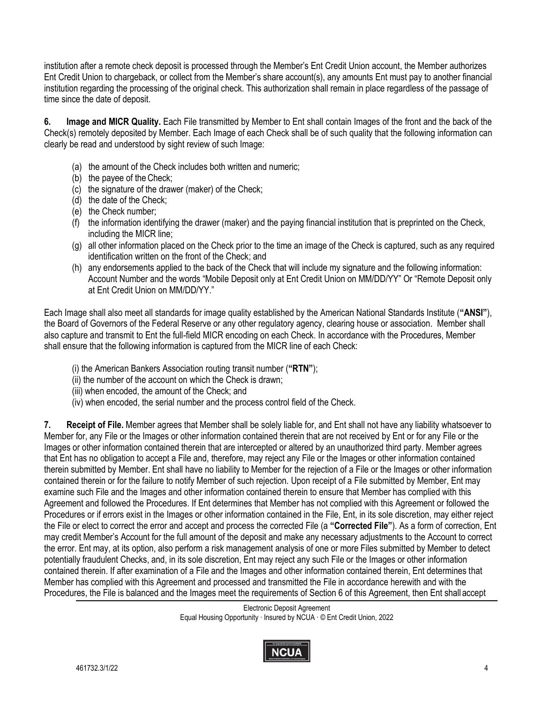institution after a remote check deposit is processed through the Member's Ent Credit Union account, the Member authorizes Ent Credit Union to chargeback, or collect from the Member's share account(s), any amounts Ent must pay to another financial institution regarding the processing of the original check. This authorization shall remain in place regardless of the passage of time since the date of deposit.

 **6. Image and MICR Quality.** Each File transmitted by Member to Ent shall contain Images of the front and the back of the Check(s) remotely deposited by Member. Each Image of each Check shall be of such quality that the following information can clearly be read and understood by sight review of such Image:

- (a) the amount of the Check includes both written and numeric;
- (b) the payee of the Check;
- (c) the signature of the drawer (maker) of the Check;
- (d) the date of the Check;
- (e) the Check number;
- (f) the information identifying the drawer (maker) and the paying financial institution that is preprinted on the Check, including the MICR line;
- (g) all other information placed on the Check prior to the time an image of the Check is captured, such as any required identification written on the front of the Check; and
- (h) any endorsements applied to the back of the Check that will include my signature and the following information: Account Number and the words "Mobile Deposit only at Ent Credit Union on MM/DD/YY" Or "Remote Deposit only at Ent Credit Union on MM/DD/YY."

 the Board of Governors of the Federal Reserve or any other regulatory agency, clearing house or association. Member shall Each Image shall also meet all standards for image quality established by the American National Standards Institute (**"ANSI"**), also capture and transmit to Ent the full-field MICR encoding on each Check. In accordance with the Procedures, Member shall ensure that the following information is captured from the MICR line of each Check:

- (i) the American Bankers Association routing transit number (**"RTN"**);
- (ii) the number of the account on which the Check is drawn;
- (iii) when encoded, the amount of the Check; and
- (iv) when encoded, the serial number and the process control field of the Check.

 the error. Ent may, at its option, also perform a risk management analysis of one or more Files submitted by Member to detect **7. Receipt of File.** Member agrees that Member shall be solely liable for, and Ent shall not have any liability whatsoever to Member for, any File or the Images or other information contained therein that are not received by Ent or for any File or the Images or other information contained therein that are intercepted or altered by an unauthorized third party. Member agrees that Ent has no obligation to accept a File and, therefore, may reject any File or the Images or other information contained therein submitted by Member. Ent shall have no liability to Member for the rejection of a File or the Images or other information contained therein or for the failure to notify Member of such rejection. Upon receipt of a File submitted by Member, Ent may examine such File and the Images and other information contained therein to ensure that Member has complied with this Agreement and followed the Procedures. If Ent determines that Member has not complied with this Agreement or followed the Procedures or if errors exist in the Images or other information contained in the File, Ent, in its sole discretion, may either reject the File or elect to correct the error and accept and process the corrected File (a **"Corrected File"**). As a form of correction, Ent may credit Member's Account for the full amount of the deposit and make any necessary adjustments to the Account to correct potentially fraudulent Checks, and, in its sole discretion, Ent may reject any such File or the Images or other information contained therein. If after examination of a File and the Images and other information contained therein, Ent determines that Member has complied with this Agreement and processed and transmitted the File in accordance herewith and with the Procedures, the File is balanced and the Images meet the requirements of Section 6 of this Agreement, then Ent shall accept

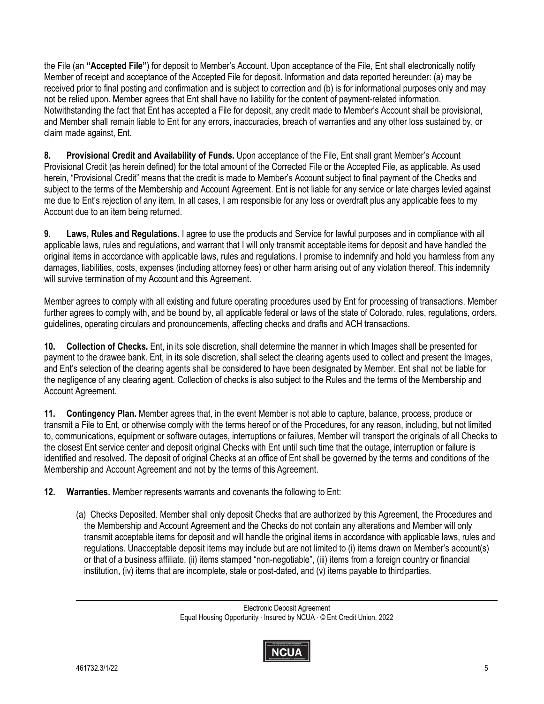and Member shall remain liable to Ent for any errors, inaccuracies, breach of warranties and any other loss sustained by, or the File (an **"Accepted File"**) for deposit to Member's Account. Upon acceptance of the File, Ent shall electronically notify Member of receipt and acceptance of the Accepted File for deposit. Information and data reported hereunder: (a) may be received prior to final posting and confirmation and is subject to correction and (b) is for informational purposes only and may not be relied upon. Member agrees that Ent shall have no liability for the content of payment-related information. Notwithstanding the fact that Ent has accepted a File for deposit, any credit made to Member's Account shall be provisional, claim made against, Ent.

**8. Provisional Credit and Availability of Funds.** Upon acceptance of the File, Ent shall grant Member's Account Provisional Credit (as herein defined) for the total amount of the Corrected File or the Accepted File, as applicable. As used herein, "Provisional Credit" means that the credit is made to Member's Account subject to final payment of the Checks and subject to the terms of the Membership and Account Agreement. Ent is not liable for any service or late charges levied against me due to Ent's rejection of any item. In all cases, I am responsible for any loss or overdraft plus any applicable fees to my Account due to an item being returned.

**9. Laws, Rules and Regulations.** I agree to use the products and Service for lawful purposes and in compliance with all applicable laws, rules and regulations, and warrant that I will only transmit acceptable items for deposit and have handled the original items in accordance with applicable laws, rules and regulations. I promise to indemnify and hold you harmless from any damages, liabilities, costs, expenses (including attorney fees) or other harm arising out of any violation thereof. This indemnity will survive termination of my Account and this Agreement.

 Member agrees to comply with all existing and future operating procedures used by Ent for processing of transactions. Member further agrees to comply with, and be bound by, all applicable federal or laws of the state of Colorado, rules, regulations, orders, guidelines, operating circulars and pronouncements, affecting checks and drafts and ACH transactions.

 the negligence of any clearing agent. Collection of checks is also subject to the Rules and the terms of the Membership and **10. Collection of Checks.** Ent, in its sole discretion, shall determine the manner in which Images shall be presented for payment to the drawee bank. Ent, in its sole discretion, shall select the clearing agents used to collect and present the Images, and Ent's selection of the clearing agents shall be considered to have been designated by Member. Ent shall not be liable for Account Agreement.

**11. Contingency Plan.** Member agrees that, in the event Member is not able to capture, balance, process, produce or transmit a File to Ent, or otherwise comply with the terms hereof or of the Procedures, for any reason, including, but not limited to, communications, equipment or software outages, interruptions or failures, Member will transport the originals of all Checks to the closest Ent service center and deposit original Checks with Ent until such time that the outage, interruption or failure is identified and resolved. The deposit of original Checks at an office of Ent shall be governed by the terms and conditions of the Membership and Account Agreement and not by the terms of this Agreement.

**12. Warranties.** Member represents warrants and covenants the following to Ent:

(a) Checks Deposited. Member shall only deposit Checks that are authorized by this Agreement, the Procedures and the Membership and Account Agreement and the Checks do not contain any alterations and Member will only transmit acceptable items for deposit and will handle the original items in accordance with applicable laws, rules and regulations. Unacceptable deposit items may include but are not limited to (i) items drawn on Member's account(s) or that of a business affiliate, (ii) items stamped "non-negotiable", (iii) items from a foreign country or financial institution, (iv) items that are incomplete, stale or post-dated, and (v) items payable to third parties.

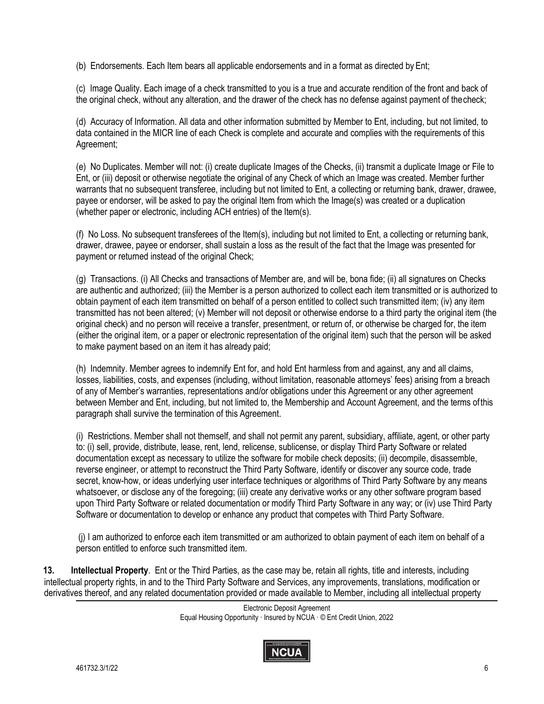(b) Endorsements. Each Item bears all applicable endorsements and in a format as directed by Ent;

(c) Image Quality. Each image of a check transmitted to you is a true and accurate rendition of the front and back of the original check, without any alteration, and the drawer of the check has no defense against payment of thecheck;

(d) Accuracy of Information. All data and other information submitted by Member to Ent, including, but not limited, to data contained in the MICR line of each Check is complete and accurate and complies with the requirements of this Agreement;

 Ent, or (iii) deposit or otherwise negotiate the original of any Check of which an Image was created. Member further (e) No Duplicates. Member will not: (i) create duplicate Images of the Checks, (ii) transmit a duplicate Image or File to warrants that no subsequent transferee, including but not limited to Ent, a collecting or returning bank, drawer, drawee, payee or endorser, will be asked to pay the original Item from which the Image(s) was created or a duplication (whether paper or electronic, including ACH entries) of the Item(s).

(f) No Loss. No subsequent transferees of the Item(s), including but not limited to Ent, a collecting or returning bank, drawer, drawee, payee or endorser, shall sustain a loss as the result of the fact that the Image was presented for payment or returned instead of the original Check;

(g) Transactions. (i) All Checks and transactions of Member are, and will be, bona fide; (ii) all signatures on Checks are authentic and authorized; (iii) the Member is a person authorized to collect each item transmitted or is authorized to obtain payment of each item transmitted on behalf of a person entitled to collect such transmitted item; (iv) any item transmitted has not been altered; (v) Member will not deposit or otherwise endorse to a third party the original item (the original check) and no person will receive a transfer, presentment, or return of, or otherwise be charged for, the item (either the original item, or a paper or electronic representation of the original item) such that the person will be asked to make payment based on an item it has already paid;

(h) Indemnity. Member agrees to indemnify Ent for, and hold Ent harmless from and against, any and all claims, losses, liabilities, costs, and expenses (including, without limitation, reasonable attorneys' fees) arising from a breach of any of Member's warranties, representations and/or obligations under this Agreement or any other agreement between Member and Ent, including, but not limited to, the Membership and Account Agreement, and the terms ofthis paragraph shall survive the termination of this Agreement.

(i) Restrictions. Member shall not themself, and shall not permit any parent, subsidiary, affiliate, agent, or other party to: (i) sell, provide, distribute, lease, rent, lend, relicense, sublicense, or display Third Party Software or related documentation except as necessary to utilize the software for mobile check deposits; (ii) decompile, disassemble, reverse engineer, or attempt to reconstruct the Third Party Software, identify or discover any source code, trade secret, know-how, or ideas underlying user interface techniques or algorithms of Third Party Software by any means whatsoever, or disclose any of the foregoing; (iii) create any derivative works or any other software program based upon Third Party Software or related documentation or modify Third Party Software in any way; or (iv) use Third Party Software or documentation to develop or enhance any product that competes with Third Party Software.

(j) I am authorized to enforce each item transmitted or am authorized to obtain payment of each item on behalf of a person entitled to enforce such transmitted item.

**13. Intellectual Property**. Ent or the Third Parties, as the case may be, retain all rights, title and interests, including intellectual property rights, in and to the Third Party Software and Services, any improvements, translations, modification or derivatives thereof, and any related documentation provided or made available to Member, including all intellectual property

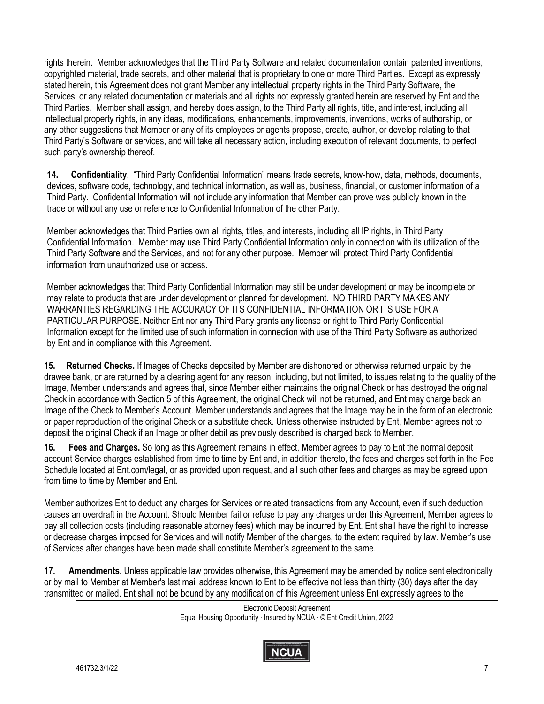rights therein. Member acknowledges that the Third Party Software and related documentation contain patented inventions, copyrighted material, trade secrets, and other material that is proprietary to one or more Third Parties. Except as expressly stated herein, this Agreement does not grant Member any intellectual property rights in the Third Party Software, the Services, or any related documentation or materials and all rights not expressly granted herein are reserved by Ent and the Third Parties. Member shall assign, and hereby does assign, to the Third Party all rights, title, and interest, including all intellectual property rights, in any ideas, modifications, enhancements, improvements, inventions, works of authorship, or any other suggestions that Member or any of its employees or agents propose, create, author, or develop relating to that Third Party's Software or services, and will take all necessary action, including execution of relevant documents, to perfect such party's ownership thereof.

**14. Confidentiality**. "Third Party Confidential Information" means trade secrets, know-how, data, methods, documents, devices, software code, technology, and technical information, as well as, business, financial, or customer information of a Third Party. Confidential Information will not include any information that Member can prove was publicly known in the trade or without any use or reference to Confidential Information of the other Party.

Member acknowledges that Third Parties own all rights, titles, and interests, including all IP rights, in Third Party Confidential Information. Member may use Third Party Confidential Information only in connection with its utilization of the Third Party Software and the Services, and not for any other purpose. Member will protect Third Party Confidential information from unauthorized use or access.

Member acknowledges that Third Party Confidential Information may still be under development or may be incomplete or may relate to products that are under development or planned for development. NO THIRD PARTY MAKES ANY WARRANTIES REGARDING THE ACCURACY OF ITS CONFIDENTIAL INFORMATION OR ITS USE FOR A PARTICULAR PURPOSE. Neither Ent nor any Third Party grants any license or right to Third Party Confidential Information except for the limited use of such information in connection with use of the Third Party Software as authorized by Ent and in compliance with this Agreement.

**15. Returned Checks.** If Images of Checks deposited by Member are dishonored or otherwise returned unpaid by the drawee bank, or are returned by a clearing agent for any reason, including, but not limited, to issues relating to the quality of the Image, Member understands and agrees that, since Member either maintains the original Check or has destroyed the original Check in accordance with Section 5 of this Agreement, the original Check will not be returned, and Ent may charge back an Image of the Check to Member's Account. Member understands and agrees that the Image may be in the form of an electronic or paper reproduction of the original Check or a substitute check. Unless otherwise instructed by Ent, Member agrees not to deposit the original Check if an Image or other debit as previously described is charged back to Member.

**16. Fees and Charges.** So long as this Agreement remains in effect, Member agrees to pay to Ent the normal deposit account Service charges established from time to time by Ent and, in addition thereto, the fees and charges set forth in the Fee Schedule located at [Ent.com/legal](https://Ent.com/legal), or as provided upon request, and all such other fees and charges as may be agreed upon from time to time by Member and Ent.

Member authorizes Ent to deduct any charges for Services or related transactions from any Account, even if such deduction causes an overdraft in the Account. Should Member fail or refuse to pay any charges under this Agreement, Member agrees to pay all collection costs (including reasonable attorney fees) which may be incurred by Ent. Ent shall have the right to increase or decrease charges imposed for Services and will notify Member of the changes, to the extent required by law. Member's use of Services after changes have been made shall constitute Member's agreement to the same.

**17. Amendments.** Unless applicable law provides otherwise, this Agreement may be amended by notice sent electronically or by mail to Member at Member's last mail address known to Ent to be effective not less than thirty (30) days after the day transmitted or mailed. Ent shall not be bound by any modification of this Agreement unless Ent expressly agrees to the

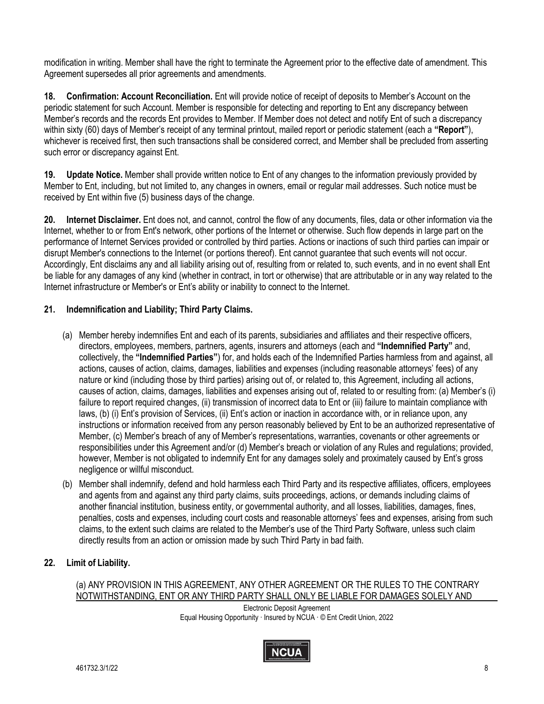modification in writing. Member shall have the right to terminate the Agreement prior to the effective date of amendment. This Agreement supersedes all prior agreements and amendments.

**18. Confirmation: Account Reconciliation.** Ent will provide notice of receipt of deposits to Member's Account on the periodic statement for such Account. Member is responsible for detecting and reporting to Ent any discrepancy between Member's records and the records Ent provides to Member. If Member does not detect and notify Ent of such a discrepancy within sixty (60) days of Member's receipt of any terminal printout, mailed report or periodic statement (each a **"Report"**), whichever is received first, then such transactions shall be considered correct, and Member shall be precluded from asserting such error or discrepancy against Ent.

 Member to Ent, including, but not limited to, any changes in owners, email or regular mail addresses. Such notice must be **19. Update Notice.** Member shall provide written notice to Ent of any changes to the information previously provided by received by Ent within five (5) business days of the change.

**20. Internet Disclaimer.** Ent does not, and cannot, control the flow of any documents, files, data or other information via the Internet, whether to or from Ent's network, other portions of the Internet or otherwise. Such flow depends in large part on the performance of Internet Services provided or controlled by third parties. Actions or inactions of such third parties can impair or disrupt Member's connections to the Internet (or portions thereof). Ent cannot guarantee that such events will not occur. Accordingly, Ent disclaims any and all liability arising out of, resulting from or related to, such events, and in no event shall Ent be liable for any damages of any kind (whether in contract, in tort or otherwise) that are attributable or in any way related to the Internet infrastructure or Member's or Ent's ability or inability to connect to the Internet.

# **21. Indemnification and Liability; Third Party Claims.**

- (a) Member hereby indemnifies Ent and each of its parents, subsidiaries and affiliates and their respective officers, directors, employees, members, partners, agents, insurers and attorneys (each and **"Indemnified Party"** and, collectively, the **"Indemnified Parties"**) for, and holds each of the Indemnified Parties harmless from and against, all actions, causes of action, claims, damages, liabilities and expenses (including reasonable attorneys' fees) of any nature or kind (including those by third parties) arising out of, or related to, this Agreement, including all actions, causes of action, claims, damages, liabilities and expenses arising out of, related to or resulting from: (a) Member's (i) failure to report required changes, (ii) transmission of incorrect data to Ent or (iii) failure to maintain compliance with laws, (b) (i) Ent's provision of Services, (ii) Ent's action or inaction in accordance with, or in reliance upon, any instructions or information received from any person reasonably believed by Ent to be an authorized representative of Member, (c) Member's breach of any of Member's representations, warranties, covenants or other agreements or responsibilities under this Agreement and/or (d) Member's breach or violation of any Rules and regulations; provided, however, Member is not obligated to indemnify Ent for any damages solely and proximately caused by Ent's gross negligence or willful misconduct.
- claims, to the extent such claims are related to the Member's use of the Third Party Software, unless such claim (b) Member shall indemnify, defend and hold harmless each Third Party and its respective affiliates, officers, employees and agents from and against any third party claims, suits proceedings, actions, or demands including claims of another financial institution, business entity, or governmental authority, and all losses, liabilities, damages, fines, penalties, costs and expenses, including court costs and reasonable attorneys' fees and expenses, arising from such directly results from an action or omission made by such Third Party in bad faith.

# **22. Limit of Liability.**

### (a) ANY PROVISION IN THIS AGREEMENT, ANY OTHER AGREEMENT OR THE RULES TO THE CONTRARY NOTWITHSTANDING, ENT OR ANY THIRD PARTY SHALL ONLY BE LIABLE FOR DAMAGES SOLELY AND

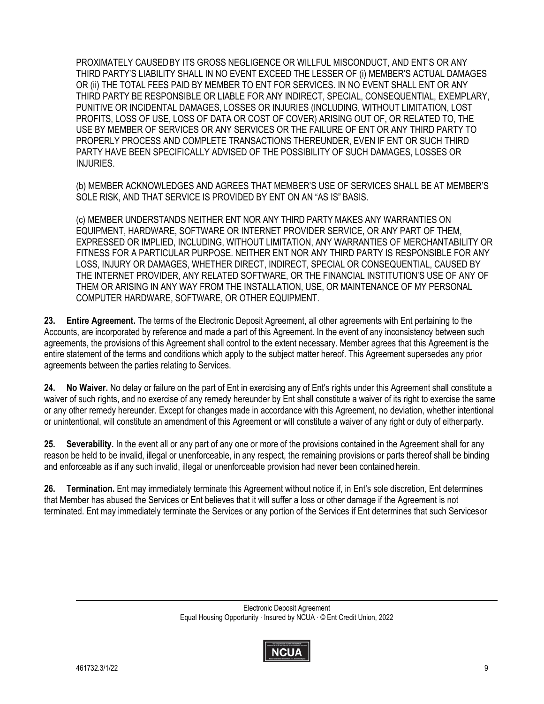PROXIMATELY CAUSEDBY ITS GROSS NEGLIGENCE OR WILLFUL MISCONDUCT, AND ENT'S OR ANY THIRD PARTY'S LIABILITY SHALL IN NO EVENT EXCEED THE LESSER OF (i) MEMBER'S ACTUAL DAMAGES OR (ii) THE TOTAL FEES PAID BY MEMBER TO ENT FOR SERVICES. IN NO EVENT SHALL ENT OR ANY THIRD PARTY BE RESPONSIBLE OR LIABLE FOR ANY INDIRECT, SPECIAL, CONSEQUENTIAL, EXEMPLARY, PUNITIVE OR INCIDENTAL DAMAGES, LOSSES OR INJURIES (INCLUDING, WITHOUT LIMITATION, LOST PROFITS, LOSS OF USE, LOSS OF DATA OR COST OF COVER) ARISING OUT OF, OR RELATED TO, THE USE BY MEMBER OF SERVICES OR ANY SERVICES OR THE FAILURE OF ENT OR ANY THIRD PARTY TO PROPERLY PROCESS AND COMPLETE TRANSACTIONS THEREUNDER, EVEN IF ENT OR SUCH THIRD PARTY HAVE BEEN SPECIFICALLY ADVISED OF THE POSSIBILITY OF SUCH DAMAGES, LOSSES OR INJURIES.

(b) MEMBER ACKNOWLEDGES AND AGREES THAT MEMBER'S USE OF SERVICES SHALL BE AT MEMBER'S SOLE RISK, AND THAT SERVICE IS PROVIDED BY ENT ON AN "AS IS" BASIS.

 (c) MEMBER UNDERSTANDS NEITHER ENT NOR ANY THIRD PARTY MAKES ANY WARRANTIES ON EQUIPMENT, HARDWARE, SOFTWARE OR INTERNET PROVIDER SERVICE, OR ANY PART OF THEM, EXPRESSED OR IMPLIED, INCLUDING, WITHOUT LIMITATION, ANY WARRANTIES OF MERCHANTABILITY OR FITNESS FOR A PARTICULAR PURPOSE. NEITHER ENT NOR ANY THIRD PARTY IS RESPONSIBLE FOR ANY LOSS, INJURY OR DAMAGES, WHETHER DIRECT, INDIRECT, SPECIAL OR CONSEQUENTIAL, CAUSED BY THE INTERNET PROVIDER, ANY RELATED SOFTWARE, OR THE FINANCIAL INSTITUTION'S USE OF ANY OF THEM OR ARISING IN ANY WAY FROM THE INSTALLATION, USE, OR MAINTENANCE OF MY PERSONAL COMPUTER HARDWARE, SOFTWARE, OR OTHER EQUIPMENT.

**23. Entire Agreement.** The terms of the Electronic Deposit Agreement, all other agreements with Ent pertaining to the Accounts, are incorporated by reference and made a part of this Agreement. In the event of any inconsistency between such agreements, the provisions of this Agreement shall control to the extent necessary. Member agrees that this Agreement is the entire statement of the terms and conditions which apply to the subject matter hereof. This Agreement supersedes any prior agreements between the parties relating to Services.

**24. No Waiver.** No delay or failure on the part of Ent in exercising any of Ent's rights under this Agreement shall constitute a waiver of such rights, and no exercise of any remedy hereunder by Ent shall constitute a waiver of its right to exercise the same or any other remedy hereunder. Except for changes made in accordance with this Agreement, no deviation, whether intentional or unintentional, will constitute an amendment of this Agreement or will constitute a waiver of any right or duty of eitherparty.

**25. Severability.** In the event all or any part of any one or more of the provisions contained in the Agreement shall for any reason be held to be invalid, illegal or unenforceable, in any respect, the remaining provisions or parts thereof shall be binding and enforceable as if any such invalid, illegal or unenforceable provision had never been contained herein.

**26. Termination.** Ent may immediately terminate this Agreement without notice if, in Ent's sole discretion, Ent determines that Member has abused the Services or Ent believes that it will suffer a loss or other damage if the Agreement is not terminated. Ent may immediately terminate the Services or any portion of the Services if Ent determines that such Servicesor

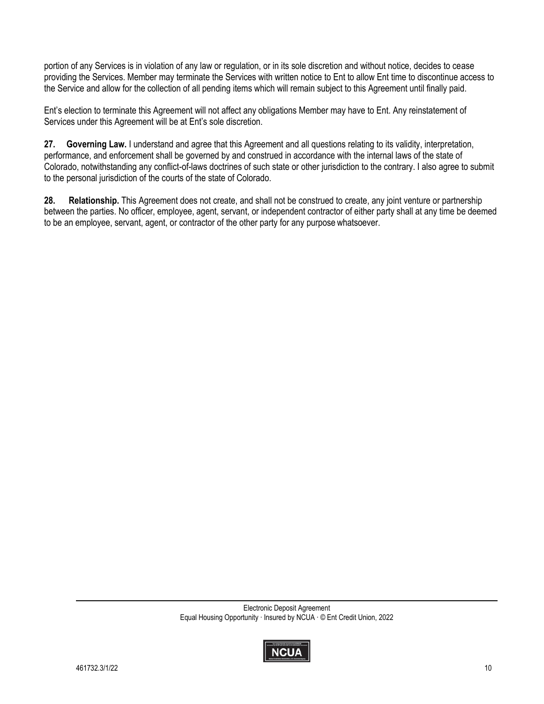portion of any Services is in violation of any law or regulation, or in its sole discretion and without notice, decides to cease providing the Services. Member may terminate the Services with written notice to Ent to allow Ent time to discontinue access to the Service and allow for the collection of all pending items which will remain subject to this Agreement until finally paid.

Ent's election to terminate this Agreement will not affect any obligations Member may have to Ent. Any reinstatement of Services under this Agreement will be at Ent's sole discretion.

**27. Governing Law.** I understand and agree that this Agreement and all questions relating to its validity, interpretation, performance, and enforcement shall be governed by and construed in accordance with the internal laws of the state of Colorado, notwithstanding any conflict-of-laws doctrines of such state or other jurisdiction to the contrary. I also agree to submit to the personal jurisdiction of the courts of the state of Colorado.

**28. Relationship.** This Agreement does not create, and shall not be construed to create, any joint venture or partnership between the parties. No officer, employee, agent, servant, or independent contractor of either party shall at any time be deemed to be an employee, servant, agent, or contractor of the other party for any purpose whatsoever.